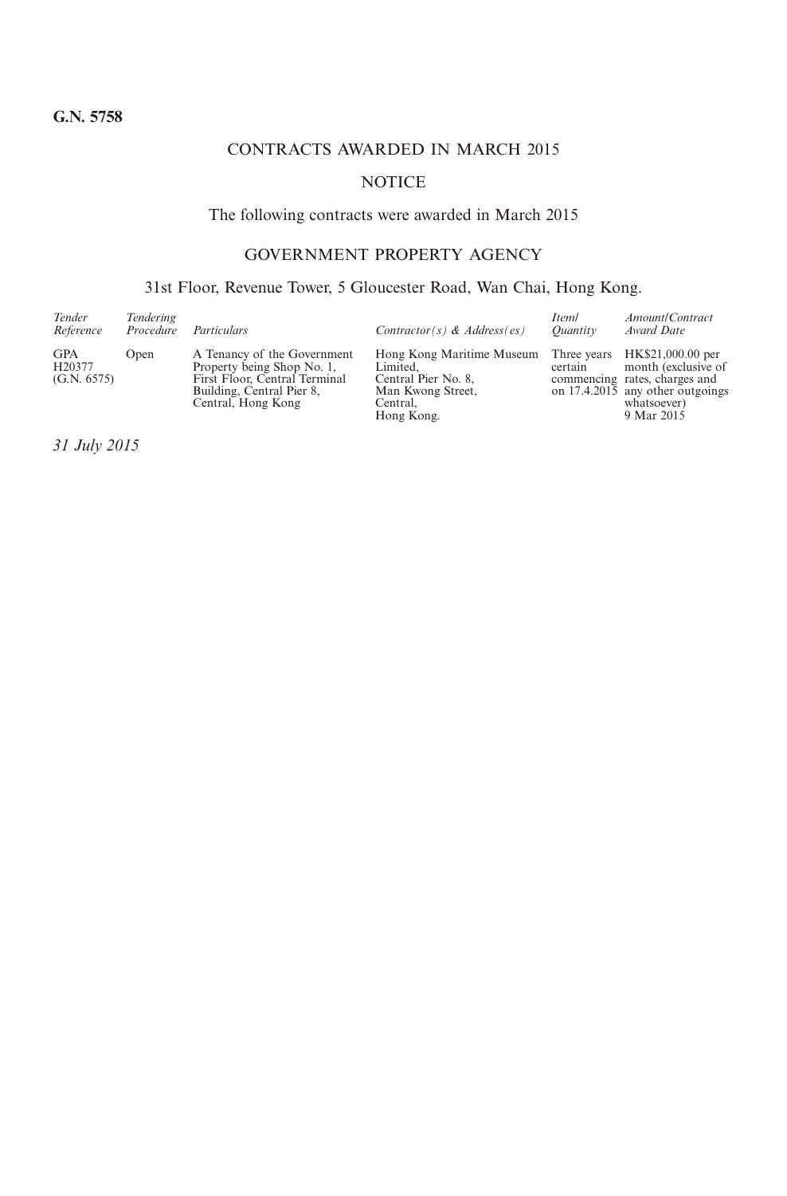# CONTRACTS AWARDED IN MARCH 2015

# **NOTICE**

# The following contracts were awarded in March 2015

# GOVERNMENT PROPERTY AGENCY

# 31st Floor, Revenue Tower, 5 Gloucester Road, Wan Chai, Hong Kong.

| Tender<br>Reference                 | Tendering<br>Procedure | Particulars                                                                                                                                   | Contractor(s) & Address(es)                                                                                 | <i>Iteml</i><br>Ouantity | Amount/Contract<br>Award Date                                                                                                                          |
|-------------------------------------|------------------------|-----------------------------------------------------------------------------------------------------------------------------------------------|-------------------------------------------------------------------------------------------------------------|--------------------------|--------------------------------------------------------------------------------------------------------------------------------------------------------|
| <b>GPA</b><br>H20377<br>(G.N. 6575) | Open                   | A Tenancy of the Government<br>Property being Shop No. 1,<br>First Floor, Central Terminal<br>Building, Central Pier 8,<br>Central, Hong Kong | Hong Kong Maritime Museum<br>Limited.<br>Central Pier No. 8.<br>Man Kwong Street,<br>Central.<br>Hong Kong. | certain                  | Three years HK\$21,000.00 per<br>month (exclusive of<br>commencing rates, charges and<br>on 17.4.2015 any other outgoings<br>whatsoever)<br>9 Mar 2015 |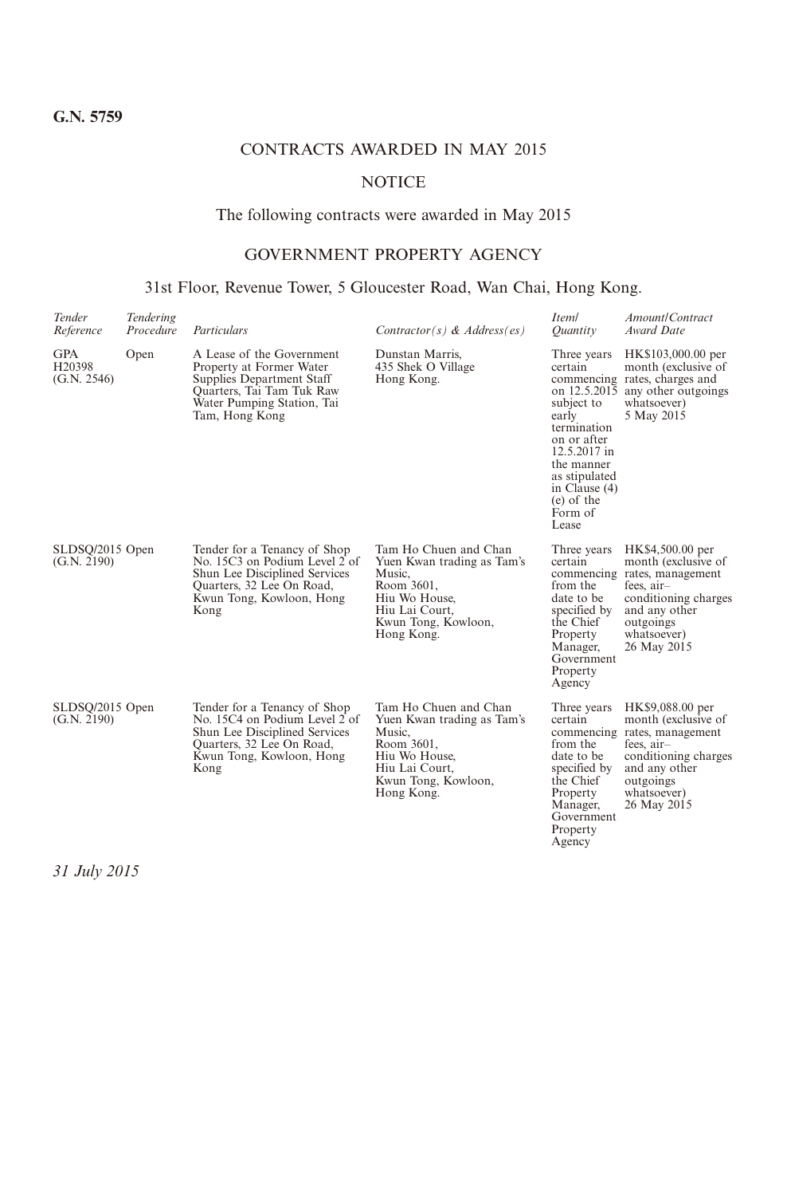# CONTRACTS AWARDED IN MAY 2015

# **NOTICE**

# The following contracts were awarded in May 2015

# GOVERNMENT PROPERTY AGENCY

# 31st Floor, Revenue Tower, 5 Gloucester Road, Wan Chai, Hong Kong.

| Tender<br>Reference                       | Tendering<br>Procedure | Particulars                                                                                                                                                     | Contractor(s) & Address(es)                                                                                                                         | Iteml<br>Ouantity                                                                                                                                                                               | Amount/Contract<br>Award Date                                                                                                                                               |
|-------------------------------------------|------------------------|-----------------------------------------------------------------------------------------------------------------------------------------------------------------|-----------------------------------------------------------------------------------------------------------------------------------------------------|-------------------------------------------------------------------------------------------------------------------------------------------------------------------------------------------------|-----------------------------------------------------------------------------------------------------------------------------------------------------------------------------|
| GPA<br>H <sub>20</sub> 398<br>(G.N. 2546) | Open                   | A Lease of the Government<br>Property at Former Water<br>Supplies Department Staff<br>Quarters, Tai Tam Tuk Raw<br>Water Pumping Station, Tai<br>Tam, Hong Kong | Dunstan Marris.<br>435 Shek O Village<br>Hong Kong.                                                                                                 | Three years<br>certain<br>on 12.5.2015<br>subject to<br>early<br>termination<br>on or after<br>12.5.2017 in<br>the manner<br>as stipulated<br>in Clause (4)<br>$(e)$ of the<br>Form of<br>Lease | HK\$103,000.00 per<br>month (exclusive of<br>commencing rates, charges and<br>any other outgoings<br>whatsoever)<br>5 May 2015                                              |
| SLDSQ/2015 Open<br>(G.N. 2190)            |                        | Tender for a Tenancy of Shop<br>No. 15C3 on Podium Level 2 of<br>Shun Lee Disciplined Services<br>Quarters, 32 Lee On Road,<br>Kwun Tong, Kowloon, Hong<br>Kong | Tam Ho Chuen and Chan<br>Yuen Kwan trading as Tam's<br>Music,<br>Room 3601,<br>Hiu Wo House,<br>Hiu Lai Court.<br>Kwun Tong, Kowloon,<br>Hong Kong. | Three years<br>certain<br>from the<br>date to be<br>specified by<br>the Chief<br>Property<br>Manager,<br>Government<br>Property<br>Agency                                                       | HK\$4,500.00 per<br>month (exclusive of<br>commencing rates, management<br>fees. $air-$<br>conditioning charges<br>and any other<br>outgoings<br>whatsoever)<br>26 May 2015 |
| SLDSQ/2015 Open<br>(G.N. 2190)            |                        | Tender for a Tenancy of Shop<br>No. 15C4 on Podium Level 2 of<br>Shun Lee Disciplined Services<br>Quarters, 32 Lee On Road,<br>Kwun Tong, Kowloon, Hong<br>Kong | Tam Ho Chuen and Chan<br>Yuen Kwan trading as Tam's<br>Music,<br>Room 3601,<br>Hiu Wo House,<br>Hiu Lai Court,<br>Kwun Tong, Kowloon,<br>Hong Kong. | Three years<br>certain<br>from the<br>date to be<br>specified by<br>the Chief<br>Property<br>Manager,<br>Government<br>Property<br>Agency                                                       | HK\$9,088.00 per<br>month (exclusive of<br>commencing rates, management<br>fees, air-<br>conditioning charges<br>and any other<br>outgoings<br>whatsoever)<br>26 May 2015   |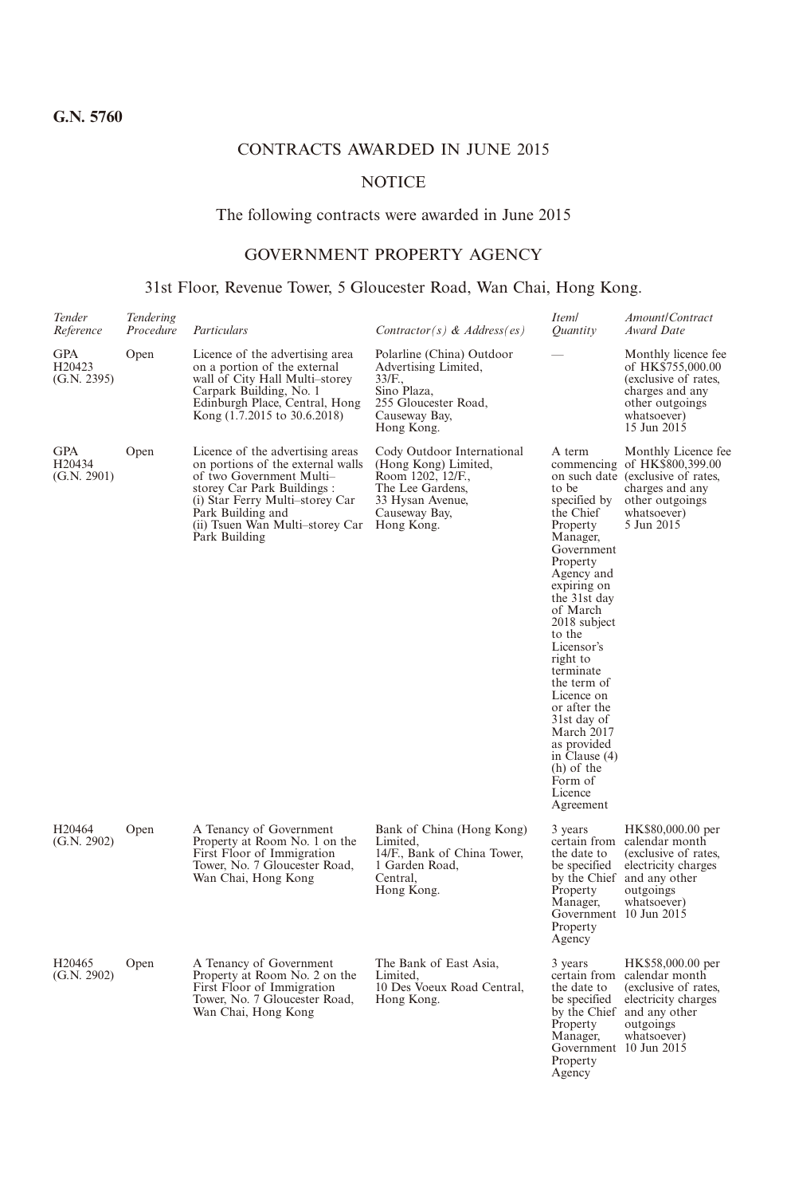# CONTRACTS AWARDED IN JUNE 2015

# **NOTICE**

# The following contracts were awarded in June 2015

# GOVERNMENT PROPERTY AGENCY

# 31st Floor, Revenue Tower, 5 Gloucester Road, Wan Chai, Hong Kong.

| Tender<br>Reference                             | Tendering<br>Procedure | Particulars                                                                                                                                                                                                                                 | Contractor(s) & Address(es)                                                                                                                    | Iteml<br>Quantity                                                                                                                                                                                                                                                                                                                                                                     | Amount/Contract<br>Award Date                                                                                                                               |
|-------------------------------------------------|------------------------|---------------------------------------------------------------------------------------------------------------------------------------------------------------------------------------------------------------------------------------------|------------------------------------------------------------------------------------------------------------------------------------------------|---------------------------------------------------------------------------------------------------------------------------------------------------------------------------------------------------------------------------------------------------------------------------------------------------------------------------------------------------------------------------------------|-------------------------------------------------------------------------------------------------------------------------------------------------------------|
| <b>GPA</b><br>H <sub>20423</sub><br>(G.N. 2395) | Open                   | Licence of the advertising area<br>on a portion of the external<br>wall of City Hall Multi-storey<br>Carpark Building, No. 1<br>Edinburgh Place, Central, Hong<br>Kong (1.7.2015 to 30.6.2018)                                              | Polarline (China) Outdoor<br>Advertising Limited,<br>33/F.,<br>Sino Plaza,<br>255 Gloucester Road.<br>Causeway Bay,<br>Hong Kong.              |                                                                                                                                                                                                                                                                                                                                                                                       | Monthly licence fee<br>of HK\$755,000.00<br>(exclusive of rates,<br>charges and any<br>other outgoings<br>whatsoever)<br>15 Jun 2015                        |
| GPA<br>H <sub>20434</sub><br>(G.N. 2901)        | Open                   | Licence of the advertising areas<br>on portions of the external walls<br>of two Government Multi-<br>storey Car Park Buildings:<br>(i) Star Ferry Multi-storey Car<br>Park Building and<br>(ii) Tsuen Wan Multi-storey Car<br>Park Building | Cody Outdoor International<br>(Hong Kong) Limited,<br>Room 1202, 12/F.,<br>The Lee Gardens,<br>33 Hysan Avenue,<br>Causeway Bay,<br>Hong Kong. | A term<br>to be<br>specified by<br>the Chief<br>Property<br>Manager,<br>Government<br>Property<br>Agency and<br>expiring on<br>the 31st day<br>of March<br>2018 subject<br>to the<br>Licensor's<br>right to<br>terminate<br>the term of<br>Licence on<br>or after the<br>31st day of<br>March 2017<br>as provided<br>in Clause $(4)$<br>(h) of the<br>Form of<br>Licence<br>Agreement | Monthly Licence fee<br>commencing of HK\$800,399.00<br>on such date (exclusive of rates,<br>charges and any<br>other outgoings<br>whatsoever)<br>5 Jun 2015 |
| H20464<br>(G.N. 2902)                           | Open                   | A Tenancy of Government<br>Property at Room No. 1 on the<br>First Floor of Immigration<br>Tower, No. 7 Gloucester Road,<br>Wan Chai, Hong Kong                                                                                              | Bank of China (Hong Kong)<br>Limited,<br>14/F., Bank of China Tower,<br>1 Garden Road,<br>Central.<br>Hong Kong.                               | 3 years<br>the date to<br>be specified<br>Property<br>Manager,<br>Government 10 Jun 2015<br>Property<br>Agency                                                                                                                                                                                                                                                                        | HK\$80,000.00 per<br>certain from calendar month<br>(exclusive of rates,<br>electricity charges<br>by the Chief and any other<br>outgoings<br>whatsoever)   |
| H <sub>20465</sub><br>(G.N. 2902)               | Open                   | A Tenancy of Government<br>Property at Room No. 2 on the<br>First Floor of Immigration<br>Tower, No. 7 Gloucester Road,<br>Wan Chai, Hong Kong                                                                                              | The Bank of East Asia,<br>Limited.<br>10 Des Voeux Road Central,<br>Hong Kong.                                                                 | 3 years<br>the date to<br>be specified<br>Property<br>Manager,<br>Government 10 Jun 2015<br>Property<br>Agency                                                                                                                                                                                                                                                                        | HK\$58,000.00 per<br>certain from calendar month<br>(exclusive of rates,<br>electricity charges<br>by the Chief and any other<br>outgoings<br>whatsoever)   |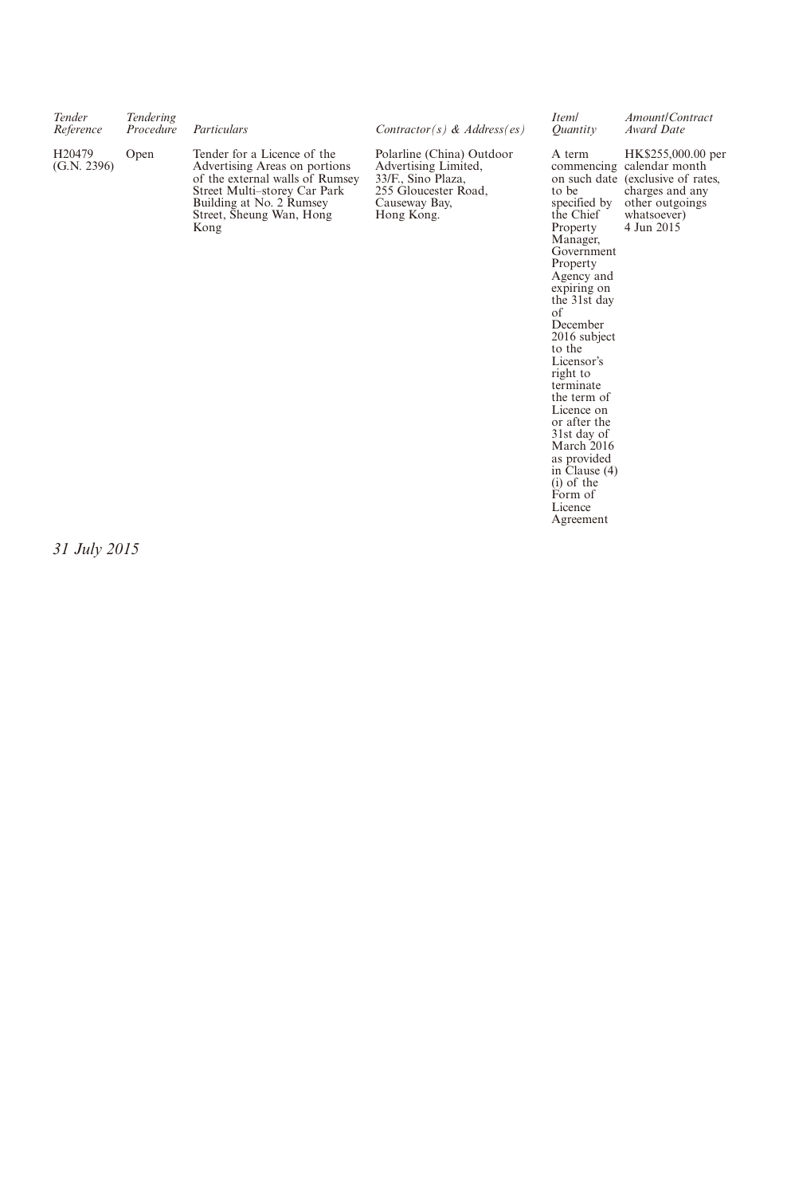| Tender<br>Reference               | Tendering<br>Procedure | Particulars                                                                                                                                                                                     | Contractor(s) & Address(es)                                                                                                    | Iteml<br>Ouantity                                        | Amount/Contract<br>Award Date                                                                                                                           |
|-----------------------------------|------------------------|-------------------------------------------------------------------------------------------------------------------------------------------------------------------------------------------------|--------------------------------------------------------------------------------------------------------------------------------|----------------------------------------------------------|---------------------------------------------------------------------------------------------------------------------------------------------------------|
| H <sub>20479</sub><br>(G.N. 2396) | Open                   | Tender for a Licence of the<br>Advertising Areas on portions<br>of the external walls of Rumsey<br>Street Multi-storey Car Park<br>Building at No. 2 Rumsey<br>Street, Sheung Wan, Hong<br>Kong | Polarline (China) Outdoor<br>Advertising Limited,<br>33/F., Sino Plaza,<br>255 Gloucester Road,<br>Causeway Bay,<br>Hong Kong. | A term<br>to be<br>specified by<br>the Chief<br>Property | HK\$255,000.00 per<br>commencing calendar month<br>on such date (exclusive of rates,<br>charges and any<br>other outgoings<br>whatsoever)<br>4 Jun 2015 |

the Chief<br>
Property<br>
Manager,<br>
Government<br>
Agency and<br>
expiring on<br>
expiring on<br>
of<br>
December<br>
December<br>
to the<br>
Licensor's<br>
to the<br>
Licensor's<br>
terminate<br>
terminate the term of Licence on or after the 31st day of March 2016 as provided in Clause (4) (i) of the Form of **Licence** Agreement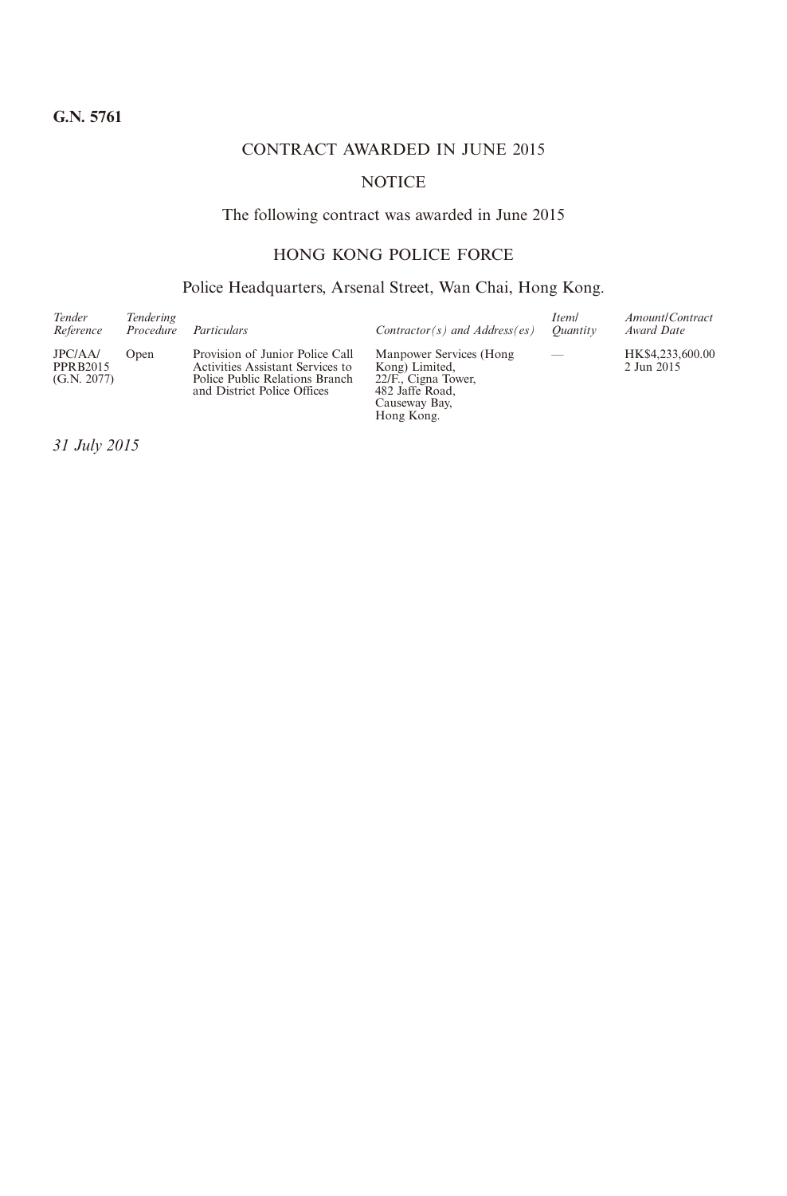# CONTRACT AWARDED IN JUNE 2015

# **NOTICE**

# The following contract was awarded in June 2015

# HONG KONG POLICE FORCE

# Police Headquarters, Arsenal Street, Wan Chai, Hong Kong.

| Tender<br>Reference                       | <b>Tendering</b><br>Procedure | Particulars                                                                                                                          | $Contractor(s)$ and $Address(es)$                                                                                   | Iteml<br>Ouantity | Amount/Contract<br>Award Date  |
|-------------------------------------------|-------------------------------|--------------------------------------------------------------------------------------------------------------------------------------|---------------------------------------------------------------------------------------------------------------------|-------------------|--------------------------------|
| JPC/AA/<br><b>PPRB2015</b><br>(G.N. 2077) | Open                          | Provision of Junior Police Call<br>Activities Assistant Services to<br>Police Public Relations Branch<br>and District Police Offices | Manpower Services (Hong)<br>Kong) Limited.<br>22/F., Cigna Tower,<br>482 Jaffe Road,<br>Causeway Bay,<br>Hong Kong. | $\qquad \qquad$   | HK\$4,233,600.00<br>2 Jun 2015 |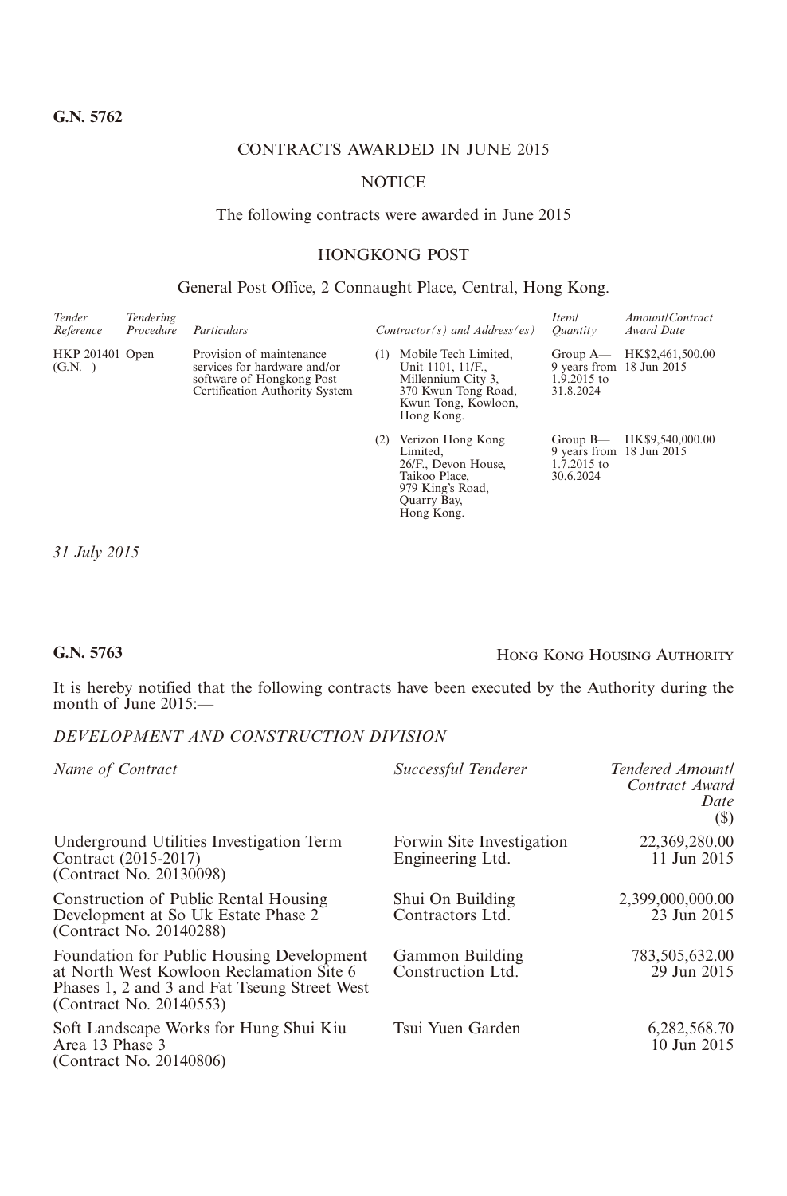# CONTRACTS AWARDED IN JUNE 2015

### **NOTICE**

#### The following contracts were awarded in June 2015

# HONGKONG POST

#### General Post Office, 2 Connaught Place, Central, Hong Kong.

| Tender<br>Reference           | Tendering<br>Procedure | Particulars                                                                                                             |     | $Contractor(s)$ and $Address(es)$                                                                                           | Iteml<br>Ouantity                                                     | Amount/Contract<br>Award Date |
|-------------------------------|------------------------|-------------------------------------------------------------------------------------------------------------------------|-----|-----------------------------------------------------------------------------------------------------------------------------|-----------------------------------------------------------------------|-------------------------------|
| HKP 201401 Open<br>$(G.N. -)$ |                        | Provision of maintenance<br>services for hardware and/or<br>software of Hongkong Post<br>Certification Authority System | (1) | Mobile Tech Limited,<br>Unit 1101, 11/F.,<br>Millennium City 3,<br>370 Kwun Tong Road,<br>Kwun Tong, Kowloon,<br>Hong Kong. | Group $A$ —<br>9 years from 18 Jun 2015<br>$1.9.2015$ to<br>31.8.2024 | HK\$2,461,500.00              |
|                               |                        |                                                                                                                         | (2) | Verizon Hong Kong<br>Limited.<br>26/F., Devon House,<br>Taikoo Place,<br>979 King's Road,<br>Quarry Bay,<br>Hong Kong.      | Group $B$ —<br>9 years from 18 Jun 2015<br>$1.7.2015$ to<br>30.6.2024 | HK\$9,540,000.00              |

*31 July 2015*

# **G.N. 5763** Hong Kong Housing Authority

It is hereby notified that the following contracts have been executed by the Authority during the month of June 2015:—

## *DEVELOPMENT AND CONSTRUCTION DIVISION*

| Name of Contract                                                                                                                                                 | Successful Tenderer                           | Tendered Amountl<br>Contract Award<br>Date<br>(\$) |
|------------------------------------------------------------------------------------------------------------------------------------------------------------------|-----------------------------------------------|----------------------------------------------------|
| Underground Utilities Investigation Term<br>Contract (2015-2017)<br>(Contract No. 20130098)                                                                      | Forwin Site Investigation<br>Engineering Ltd. | 22,369,280.00<br>11 Jun 2015                       |
| Construction of Public Rental Housing<br>Development at So Uk Estate Phase 2<br>(Contract No. 20140288)                                                          | Shui On Building<br>Contractors Ltd.          | 2,399,000,000.00<br>23 Jun 2015                    |
| Foundation for Public Housing Development<br>at North West Kowloon Reclamation Site 6<br>Phases 1, 2 and 3 and Fat Tseung Street West<br>(Contract No. 20140553) | Gammon Building<br>Construction Ltd.          | 783,505,632.00<br>29 Jun 2015                      |
| Soft Landscape Works for Hung Shui Kiu<br>Area 13 Phase 3<br>(Contract No. 20140806)                                                                             | Tsui Yuen Garden                              | 6,282,568.70<br>10 Jun 2015                        |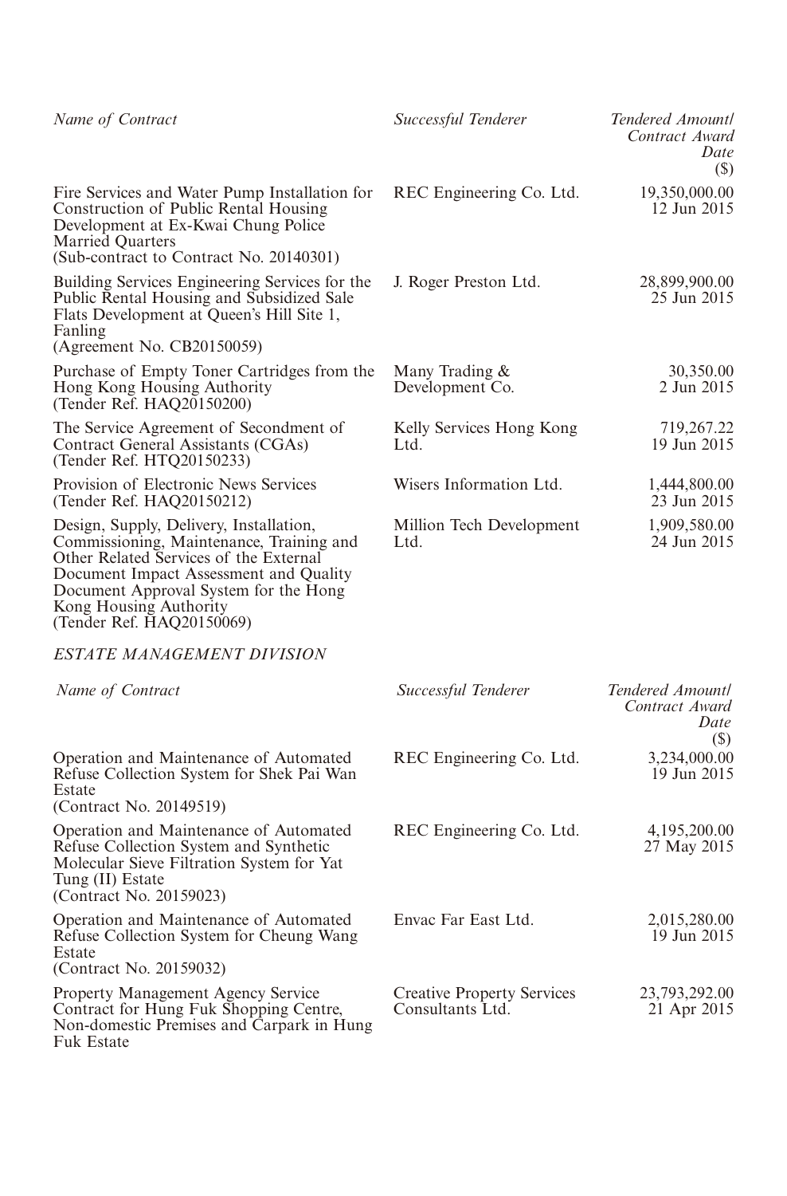| Name of Contract                                                                                                                                                                                                                                                        | Successful Tenderer                                   | Tendered Amountl<br>Contract Award<br>Date<br>(S)        |
|-------------------------------------------------------------------------------------------------------------------------------------------------------------------------------------------------------------------------------------------------------------------------|-------------------------------------------------------|----------------------------------------------------------|
| Fire Services and Water Pump Installation for<br>Construction of Public Rental Housing<br>Development at Ex-Kwai Chung Police<br><b>Married Quarters</b><br>(Sub-contract to Contract No. 20140301)                                                                     | REC Engineering Co. Ltd.                              | 19,350,000.00<br>12 Jun 2015                             |
| Building Services Engineering Services for the<br>Public Rental Housing and Subsidized Sale<br>Flats Development at Queen's Hill Site 1,<br>Fanling<br>(Agreement No. CB20150059)                                                                                       | J. Roger Preston Ltd.                                 | 28,899,900.00<br>25 Jun 2015                             |
| Purchase of Empty Toner Cartridges from the<br>Hong Kong Housing Authority<br>(Tender Ref. HAQ20150200)                                                                                                                                                                 | Many Trading &<br>Development Co.                     | 30,350.00<br>2 Jun 2015                                  |
| The Service Agreement of Secondment of<br>Contract General Assistants (CGAs)<br>(Tender Ref. HTQ20150233)                                                                                                                                                               | Kelly Services Hong Kong<br>Ltd.                      | 719,267.22<br>19 Jun 2015                                |
| Provision of Electronic News Services<br>(Tender Ref. HAQ20150212)                                                                                                                                                                                                      | Wisers Information Ltd.                               | 1,444,800.00<br>23 Jun 2015                              |
| Design, Supply, Delivery, Installation,<br>Commissioning, Maintenance, Training and<br>Other Related Services of the External<br>Document Impact Assessment and Quality<br>Document Approval System for the Hong<br>Kong Housing Authority<br>(Tender Ref. HAQ20150069) | Million Tech Development<br>Ltd.                      | 1,909,580.00<br>24 Jun 2015                              |
| <b>ESTATE MANAGEMENT DIVISION</b>                                                                                                                                                                                                                                       |                                                       |                                                          |
| Name of Contract                                                                                                                                                                                                                                                        | Successful Tenderer                                   | Tendered Amountl<br>Contract Award<br><i>Date</i><br>(S) |
| Operation and Maintenance of Automated<br>Refuse Collection System for Shek Pai Wan<br>Estate<br>(Contract No. 20149519)                                                                                                                                                | REC Engineering Co. Ltd.                              | 3,234,000.00<br>19 Jun 2015                              |
| Operation and Maintenance of Automated<br>Refuse Collection System and Synthetic<br>Molecular Sieve Filtration System for Yat<br>Tung (II) Estate<br>(Contract No. 20159023)                                                                                            | REC Engineering Co. Ltd.                              | 4,195,200.00<br>27 May 2015                              |
| Operation and Maintenance of Automated<br>Refuse Collection System for Cheung Wang<br>Estate<br>(Contract No. 20159032)                                                                                                                                                 | Envac Far East Ltd.                                   | 2,015,280.00<br>19 Jun 2015                              |
| Property Management Agency Service<br>Contract for Hung Fuk Shopping Centre,<br>Non-domestic Premises and Carpark in Hung<br>Fuk Estate                                                                                                                                 | <b>Creative Property Services</b><br>Consultants Ltd. | 23,793,292.00<br>21 Apr 2015                             |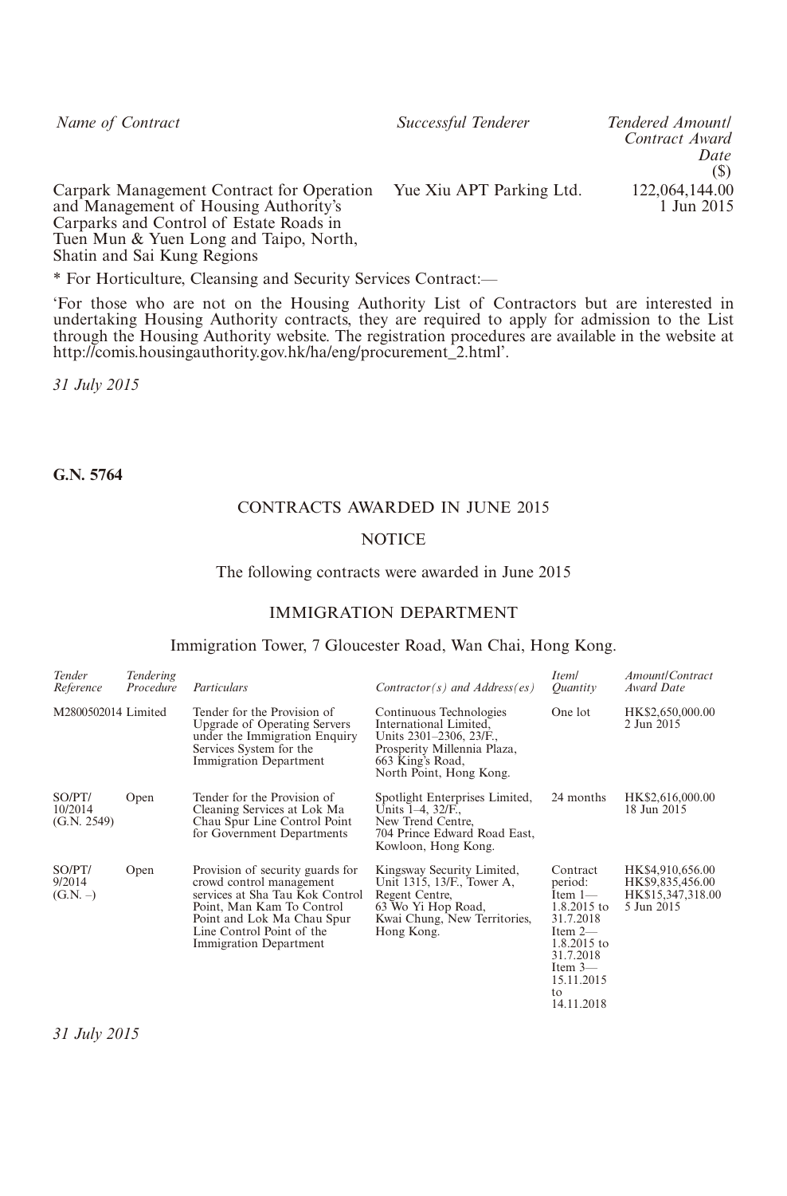*Name of Contract Successful Tenderer Tendered Amount/*

*Contract Award Date* (\$) 1 Jun 2015

Carpark Management Contract for Operation Yue Xiu APT Parking Ltd. 122,064,144.00 and Management of Housing Authority's Carparks and Control of Estate Roads in Tuen Mun & Yuen Long and Taipo, North, Shatin and Sai Kung Regions

\* For Horticulture, Cleansing and Security Services Contract:—

'For those who are not on the Housing Authority List of Contractors but are interested in undertaking Housing Authority contracts, they are required to apply for admission to the List through the Housing Authority website. The registration procedures are available in the website at http://comis.housingauthority.gov.hk/ha/eng/procurement\_2.html'.

*31 July 2015*

**G.N. 5764**

#### CONTRACTS AWARDED IN JUNE 2015

#### **NOTICE**

#### The following contracts were awarded in June 2015

#### IMMIGRATION DEPARTMENT

#### Immigration Tower, 7 Gloucester Road, Wan Chai, Hong Kong.

| Tender<br>Reference              | <b>Tendering</b><br>Procedure | Particulars                                                                                                                                                                                                       | $Contractor(s)$ and $Address(es)$                                                                                                                          | Iteml<br>Ouantity                                                                                                                                              | Amount/Contract<br>Award Date                                           |
|----------------------------------|-------------------------------|-------------------------------------------------------------------------------------------------------------------------------------------------------------------------------------------------------------------|------------------------------------------------------------------------------------------------------------------------------------------------------------|----------------------------------------------------------------------------------------------------------------------------------------------------------------|-------------------------------------------------------------------------|
| M2800502014 Limited              |                               | Tender for the Provision of<br><b>Upgrade of Operating Servers</b><br>under the Immigration Enquiry<br>Services System for the<br>Immigration Department                                                          | Continuous Technologies<br>International Limited,<br>Units 2301-2306, 23/F.,<br>Prosperity Millennia Plaza,<br>663 King's Road,<br>North Point, Hong Kong. | One lot                                                                                                                                                        | HK\$2,650,000.00<br>2 Jun 2015                                          |
| SO/PT/<br>10/2014<br>(G.N. 2549) | Open                          | Tender for the Provision of<br>Cleaning Services at Lok Ma<br>Chau Spur Line Control Point<br>for Government Departments                                                                                          | Spotlight Enterprises Limited,<br>Units 1-4, 32/F.,<br>New Trend Centre,<br>704 Prince Edward Road East,<br>Kowloon, Hong Kong.                            | 24 months                                                                                                                                                      | HK\$2,616,000.00<br>18 Jun 2015                                         |
| SO/PT/<br>9/2014<br>$(G.N. -)$   | Open                          | Provision of security guards for<br>crowd control management<br>services at Sha Tau Kok Control<br>Point, Man Kam To Control<br>Point and Lok Ma Chau Spur<br>Line Control Point of the<br>Immigration Department | Kingsway Security Limited,<br>Unit 1315, 13/F., Tower A,<br>Regent Centre,<br>63 Wo Yi Hop Road,<br>Kwai Chung, New Territories,<br>Hong Kong.             | Contract<br>period:<br>Item $1-$<br>1.8.2015 to<br>31.7.2018<br>Item $2-$<br>1.8.2015 to<br>31.7.2018<br>Item $3-$<br>15.11.2015<br>$\mathbf{f}$<br>14.11.2018 | HK\$4,910,656.00<br>HK\$9,835,456.00<br>HK\$15,347,318.00<br>5 Jun 2015 |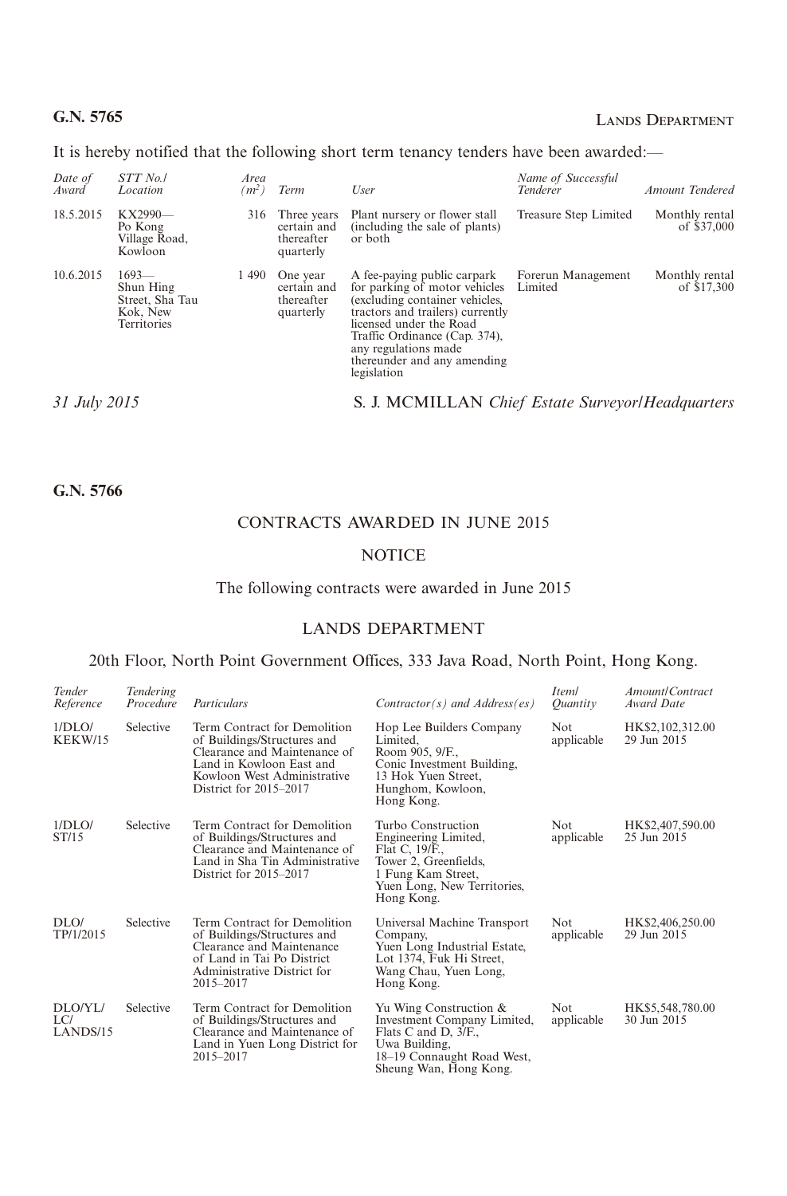# **G.N. 5765** LANDS DEPARTMENT

It is hereby notified that the following short term tenancy tenders have been awarded:—

| Date of<br>Award | STT No./<br>Location                                               | Area<br>$(m^2)$ | Term                                                  | User                                                                                                                                                                                                                                                                 | Name of Successful<br>Tenderer | Amount Tendered               |
|------------------|--------------------------------------------------------------------|-----------------|-------------------------------------------------------|----------------------------------------------------------------------------------------------------------------------------------------------------------------------------------------------------------------------------------------------------------------------|--------------------------------|-------------------------------|
| 18.5.2015        | KX2990-<br>Po Kong<br>Village Road,<br>Kowloon                     | 316             | Three years<br>certain and<br>thereafter<br>quarterly | Plant nursery or flower stall<br>(including the sale of plants)<br>or both                                                                                                                                                                                           | Treasure Step Limited          | Monthly rental<br>of \$37,000 |
| 10.6.2015        | $1693-$<br>Shun Hing<br>Street, Sha Tau<br>Kok, New<br>Territories | 1490            | One year<br>certain and<br>thereafter<br>quarterly    | A fee-paying public carpark<br>for parking of motor vehicles<br>(excluding container vehicles,<br>tractors and trailers) currently<br>licensed under the Road<br>Traffic Ordinance (Cap. 374),<br>any regulations made<br>thereunder and any amending<br>legislation | Forerun Management<br>Limited  | Monthly rental<br>of \$17,300 |
| 31 July 2015     |                                                                    |                 |                                                       | S. J. MCMILLAN Chief Estate Surveyor/Headquarters                                                                                                                                                                                                                    |                                |                               |

**G.N. 5766**

# CONTRACTS AWARDED IN JUNE 2015

#### **NOTICE**

#### The following contracts were awarded in June 2015

## LANDS DEPARTMENT

## 20th Floor, North Point Government Offices, 333 Java Road, North Point, Hong Kong.

| Tender<br>Reference        | Tendering<br>Procedure | Particulars                                                                                                                                                                      | $Contractor(s)$ and $Address(es)$                                                                                                                        | Iteml<br>Ouantity  | Amount/Contract<br>Award Date   |
|----------------------------|------------------------|----------------------------------------------------------------------------------------------------------------------------------------------------------------------------------|----------------------------------------------------------------------------------------------------------------------------------------------------------|--------------------|---------------------------------|
| 1/DLO/<br>KEKW/15          | Selective              | Term Contract for Demolition<br>of Buildings/Structures and<br>Clearance and Maintenance of<br>Land in Kowloon East and<br>Kowloon West Administrative<br>District for 2015–2017 | Hop Lee Builders Company<br>Limited.<br>Room 905, 9/F.,<br>Conic Investment Building,<br>13 Hok Yuen Street,<br>Hunghom, Kowloon,<br>Hong Kong.          | Not<br>applicable  | HK\$2,102,312.00<br>29 Jun 2015 |
| 1/DLO/<br>ST/15            | Selective              | Term Contract for Demolition<br>of Buildings/Structures and<br>Clearance and Maintenance of<br>Land in Sha Tin Administrative<br>District for 2015–2017                          | Turbo Construction<br>Engineering Limited,<br>Flat C, 19/F.,<br>Tower 2, Greenfields,<br>1 Fung Kam Street,<br>Yuen Long, New Territories,<br>Hong Kong. | Not.<br>applicable | HK\$2,407,590.00<br>25 Jun 2015 |
| DIO/<br>TP/1/2015          | Selective              | Term Contract for Demolition<br>of Buildings/Structures and<br>Clearance and Maintenance<br>of Land in Tai Po District<br>Administrative District for<br>2015-2017               | Universal Machine Transport<br>Company,<br>Yuen Long Industrial Estate,<br>Lot 1374, Fuk Hi Street,<br>Wang Chau, Yuen Long,<br>Hong Kong.               | Not.<br>applicable | HK\$2,406,250.00<br>29 Jun 2015 |
| DLO/YL/<br>LC/<br>LANDS/15 | Selective              | Term Contract for Demolition<br>of Buildings/Structures and<br>Clearance and Maintenance of<br>Land in Yuen Long District for<br>2015-2017                                       | Yu Wing Construction &<br>Investment Company Limited,<br>Flats C and D, 3/F.,<br>Uwa Building,<br>18-19 Connaught Road West,<br>Sheung Wan, Hong Kong.   | Not.<br>applicable | HK\$5,548,780.00<br>30 Jun 2015 |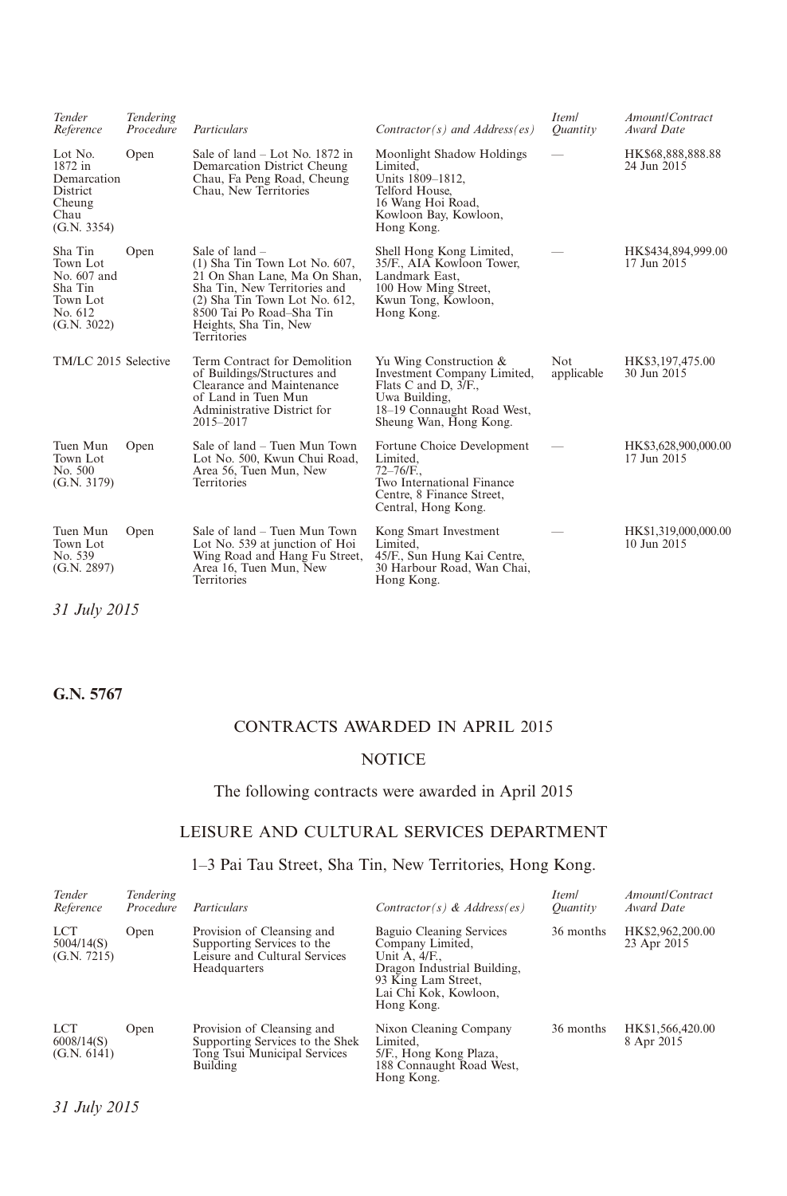| Tender<br>Reference                                                                 | Tendering<br>Procedure | Particulars                                                                                                                                                                                                            | $Contractor(s)$ and $Address(es)$                                                                                                                      | <i>Iteml</i><br>Ouantity | Amount/Contract<br>Award Date       |
|-------------------------------------------------------------------------------------|------------------------|------------------------------------------------------------------------------------------------------------------------------------------------------------------------------------------------------------------------|--------------------------------------------------------------------------------------------------------------------------------------------------------|--------------------------|-------------------------------------|
| Lot No.<br>1872 in<br>Demarcation<br>District<br>Cheung<br>Chau<br>(G.N. 3354)      | Open                   | Sale of $land - Lot$ No. 1872 in<br>Demarcation District Cheung<br>Chau, Fa Peng Road, Cheung<br>Chau, New Territories                                                                                                 | Moonlight Shadow Holdings<br>Limited.<br>Units 1809-1812,<br>Telford House,<br>16 Wang Hoi Road,<br>Kowloon Bay, Kowloon,<br>Hong Kong.                |                          | HK\$68,888,888.88<br>24 Jun 2015    |
| Sha Tin<br>Town Lot<br>No. 607 and<br>Sha Tin<br>Town Lot<br>No. 612<br>(G.N. 3022) | Open                   | Sale of $land -$<br>(1) Sha Tin Town Lot No. 607,<br>21 On Shan Lane, Ma On Shan,<br>Sha Tin, New Territories and<br>(2) Sha Tin Town Lot No. 612,<br>8500 Tai Po Road-Sha Tin<br>Heights, Sha Tin, New<br>Territories | Shell Hong Kong Limited,<br>35/F., AIA Kowloon Tower,<br>Landmark East,<br>100 How Ming Street,<br>Kwun Tong, Kowloon,<br>Hong Kong.                   |                          | HK\$434,894,999.00<br>17 Jun 2015   |
| TM/LC 2015 Selective                                                                |                        | Term Contract for Demolition<br>of Buildings/Structures and<br>Clearance and Maintenance<br>of Land in Tuen Mun<br>Administrative District for<br>2015-2017                                                            | Yu Wing Construction &<br>Investment Company Limited,<br>Flats C and D, 3/F.,<br>Uwa Building,<br>18–19 Connaught Road West,<br>Sheung Wan, Hong Kong. | Not<br>applicable        | HK\$3,197,475.00<br>30 Jun 2015     |
| Tuen Mun<br>Town Lot<br>No. 500<br>(G.N. 3179)                                      | Open                   | Sale of land – Tuen Mun Town<br>Lot No. 500, Kwun Chui Road,<br>Area 56, Tuen Mun, New<br>Territories                                                                                                                  | Fortune Choice Development<br>Limited.<br>$72 - 76$ /F.,<br>Two International Finance<br>Centre, 8 Finance Street,<br>Central, Hong Kong.              |                          | HK\$3,628,900,000.00<br>17 Jun 2015 |
| Tuen Mun<br>Town Lot<br>No. 539<br>(G.N. 2897)                                      | Open                   | Sale of land – Tuen Mun Town<br>Lot No. 539 at junction of Hoi<br>Wing Road and Hang Fu Street,<br>Area 16, Tuen Mun, New<br>Territories                                                                               | Kong Smart Investment<br>Limited,<br>45/F., Sun Hung Kai Centre,<br>30 Harbour Road, Wan Chai,<br>Hong Kong.                                           |                          | HK\$1,319,000,000.00<br>10 Jun 2015 |

*31 July 2015*

# **G.N. 5767**

# CONTRACTS AWARDED IN APRIL 2015

# **NOTICE**

# The following contracts were awarded in April 2015

# LEISURE AND CULTURAL SERVICES DEPARTMENT

# 1–3 Pai Tau Street, Sha Tin, New Territories, Hong Kong.

| Tender<br>Reference                     | <b>Tendering</b><br>Procedure | Particulars                                                                                               | Contractor(s) & Address(es)                                                                                                                                | Iteml<br>Ouantity | Amount/Contract<br>Award Date   |
|-----------------------------------------|-------------------------------|-----------------------------------------------------------------------------------------------------------|------------------------------------------------------------------------------------------------------------------------------------------------------------|-------------------|---------------------------------|
| <b>LCT</b><br>5004/14(S)<br>(G.N. 7215) | Open                          | Provision of Cleansing and<br>Supporting Services to the<br>Leisure and Cultural Services<br>Headquarters | Baguio Cleaning Services<br>Company Limited,<br>Unit A, 4/F.,<br>Dragon Industrial Building,<br>93 King Lam Street,<br>Lai Chi Kok, Kowloon,<br>Hong Kong. | 36 months         | HK\$2,962,200.00<br>23 Apr 2015 |
| <b>LCT</b><br>6008/14(S)<br>(G.N. 6141) | Open                          | Provision of Cleansing and<br>Supporting Services to the Shek<br>Tong Tsui Municipal Services<br>Building | Nixon Cleaning Company<br>Limited.<br>5/F., Hong Kong Plaza,<br>188 Connaught Road West,<br>Hong Kong.                                                     | 36 months         | HK\$1,566,420.00<br>8 Apr 2015  |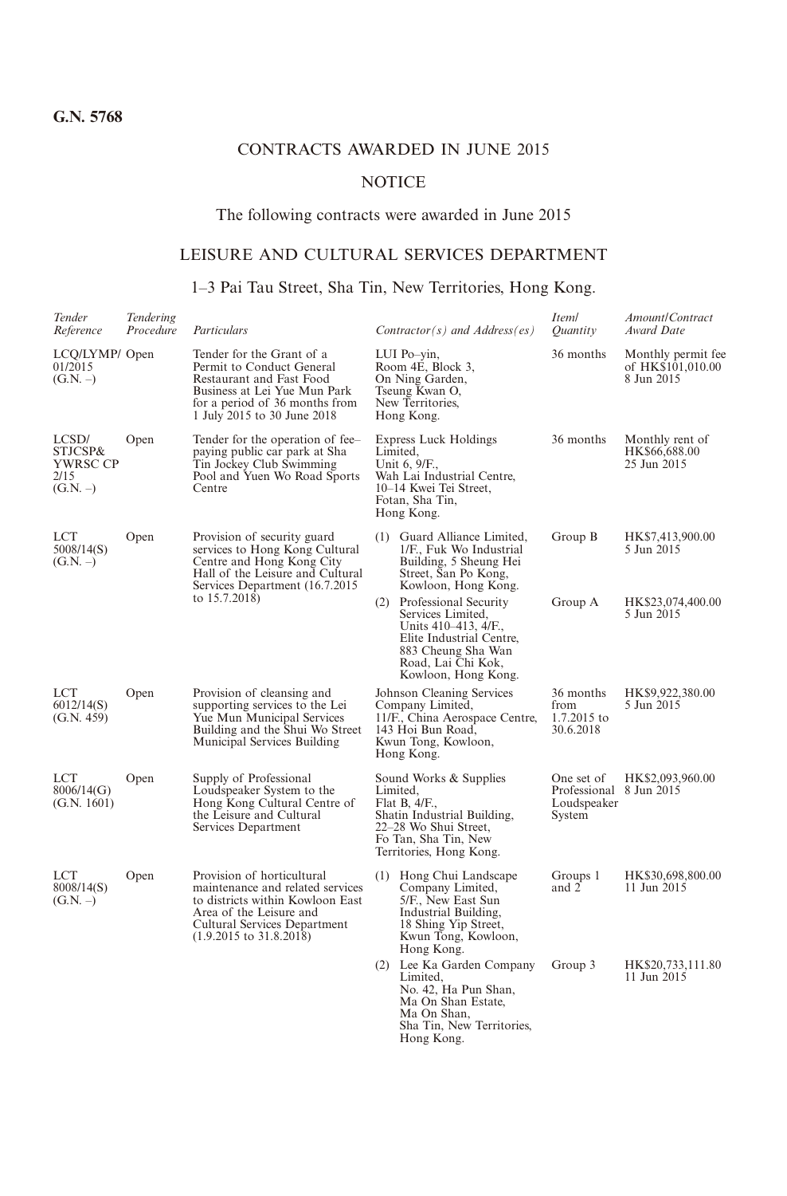# CONTRACTS AWARDED IN JUNE 2015

# **NOTICE**

## The following contracts were awarded in June 2015

# LEISURE AND CULTURAL SERVICES DEPARTMENT

# 1–3 Pai Tau Street, Sha Tin, New Territories, Hong Kong.

| Tender<br>Reference                              | Tendering<br>Procedure | Particulars                                                                                                                                                                                         | $Contractor(s)$ and $Address(es)$                                                                                                                                     | Iteml<br>Ouantity                                              | Amount/Contract<br>Award Date                         |
|--------------------------------------------------|------------------------|-----------------------------------------------------------------------------------------------------------------------------------------------------------------------------------------------------|-----------------------------------------------------------------------------------------------------------------------------------------------------------------------|----------------------------------------------------------------|-------------------------------------------------------|
| LCQ/LYMP/ Open<br>01/2015<br>$(G.N. -)$          |                        | Tender for the Grant of a<br>Permit to Conduct General<br>Restaurant and Fast Food<br>Business at Lei Yue Mun Park<br>for a period of 36 months from<br>1 July 2015 to 30 June 2018                 | LUI Po-vin,<br>Room 4E, Block 3,<br>On Ning Garden,<br>Tseung Kwan O,<br>New Territories,<br>Hong Kong.                                                               | 36 months                                                      | Monthly permit fee<br>of HK\$101,010.00<br>8 Jun 2015 |
| LCSD/<br>STJCSP&<br>YWRSC CP<br>2/15<br>(G.N. –) | Open                   | Tender for the operation of fee-<br>paying public car park at Sha<br>Tin Jockey Club Swimming<br>Pool and Yuen Wo Road Sports<br>Centre                                                             | <b>Express Luck Holdings</b><br>Limited,<br>Unit 6, 9/F.,<br>Wah Lai Industrial Centre,<br>10-14 Kwei Tei Street,<br>Fotan, Sha Tin,<br>Hong Kong.                    | 36 months                                                      | Monthly rent of<br>HK\$66,688.00<br>25 Jun 2015       |
| LCT<br>5008/14(S)<br>$(G.N. -)$                  | Open                   | Provision of security guard<br>services to Hong Kong Cultural<br>Centre and Hong Kong City<br>Hall of the Leisure and Cultural<br>Services Department (16.7.2015)<br>to 15.7.2018)                  | (1) Guard Alliance Limited,<br>1/F., Fuk Wo Industrial<br>Building, 5 Sheung Hei<br>Street, San Po Kong,<br>Kowloon, Hong Kong.                                       | Group B                                                        | HK\$7,413,900.00<br>5 Jun 2015                        |
|                                                  |                        |                                                                                                                                                                                                     | (2) Professional Security<br>Services Limited,<br>Units 410-413, 4/F.,<br>Elite Industrial Centre,<br>883 Cheung Sha Wan<br>Road, Lai Chi Kok,<br>Kowloon, Hong Kong. | Group A                                                        | HK\$23,074,400.00<br>5 Jun 2015                       |
| <b>LCT</b><br>6012/14(S)<br>(G.N. 459)           | Open                   | Provision of cleansing and<br>supporting services to the Lei<br>Yue Mun Municipal Services<br>Building and the Shui Wo Street<br>Municipal Services Building                                        | Johnson Cleaning Services<br>Company Limited,<br>11/F., China Aerospace Centre,<br>143 Hoi Bun Road,<br>Kwun Tong, Kowloon,<br>Hong Kong.                             | 36 months<br>from<br>1.7.2015 to<br>30.6.2018                  | HK\$9,922,380.00<br>5 Jun 2015                        |
| LCT<br>8006/14(G)<br>(G.N. 1601)                 | Open                   | Supply of Professional<br>Loudspeaker System to the<br>Hong Kong Cultural Centre of<br>the Leisure and Cultural<br>Services Department                                                              | Sound Works & Supplies<br>Limited,<br>Flat B, $4/F$ .<br>Shatin Industrial Building,<br>22-28 Wo Shui Street,<br>Fo Tan, Sha Tin, New<br>Territories, Hong Kong.      | One set of<br>Professional 8 Jun 2015<br>Loudspeaker<br>System | HK\$2,093,960.00                                      |
| LCT<br>8008/14(S)<br>$(G.N. -)$                  | Open                   | Provision of horticultural<br>maintenance and related services<br>to districts within Kowloon East<br>Area of the Leisure and<br>Cultural Services Department<br>$(1.9.2015 \text{ to } 31.8.2018)$ | (1) Hong Chui Landscape<br>Company Limited,<br>5/F., New East Sun<br>Industrial Building,<br>18 Shing Yip Street,<br>Kwun Tong, Kowloon,<br>Hong Kong.                | Groups 1<br>and 2                                              | HK\$30,698,800.00<br>11 Jun 2015                      |
|                                                  |                        |                                                                                                                                                                                                     | (2) Lee Ka Garden Company<br>Limited.<br>No. 42, Ha Pun Shan,<br>Ma On Shan Estate,<br>Ma On Shan,<br>Sha Tin, New Territories,<br>Hong Kong.                         | Group 3                                                        | HK\$20,733,111.80<br>11 Jun 2015                      |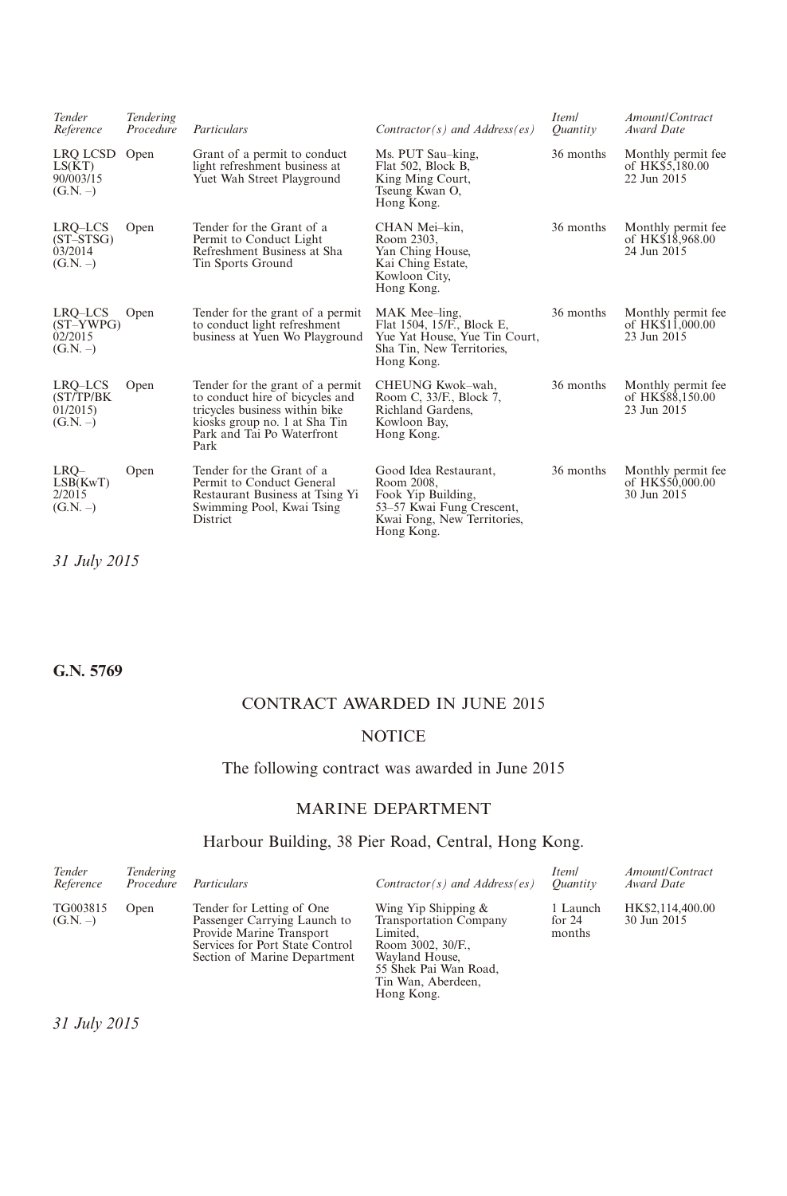| Tender<br>Reference                                | Tendering<br>Procedure | Particulars                                                                                                                                                                  | $Contractor(s)$ and $Address(es)$                                                                                                   | Iteml<br>Ouantity | Amount/Contract<br>Award Date                         |
|----------------------------------------------------|------------------------|------------------------------------------------------------------------------------------------------------------------------------------------------------------------------|-------------------------------------------------------------------------------------------------------------------------------------|-------------------|-------------------------------------------------------|
| LRO LCSD Open<br>LS(KT)<br>90/003/15<br>$(G.N. -)$ |                        | Grant of a permit to conduct<br>light refreshment business at<br>Yuet Wah Street Playground                                                                                  | Ms. PUT Sau-king,<br>Flat 502, Block B,<br>King Ming Court,<br>Tseung Kwan O,<br>Hong Kong.                                         | 36 months         | Monthly permit fee<br>of HK\$5,180.00<br>22 Jun 2015  |
| LRO-LCS<br>$(ST-STSG)$<br>03/2014<br>$(G.N. -)$    | Open                   | Tender for the Grant of a<br>Permit to Conduct Light<br>Refreshment Business at Sha<br>Tin Sports Ground                                                                     | CHAN Mei-kin,<br>Room 2303.<br>Yan Ching House,<br>Kai Ching Estate,<br>Kowloon City,<br>Hong Kong.                                 | 36 months         | Monthly permit fee<br>of HK\$18,968.00<br>24 Jun 2015 |
| LRQ-LCS<br>$(ST-YWPG)$<br>02/2015<br>$(G.N. -)$    | Open                   | Tender for the grant of a permit<br>to conduct light refreshment<br>business at Yuen Wo Playground                                                                           | MAK Mee-ling.<br>Flat 1504, 15/F., Block E,<br>Yue Yat House, Yue Tin Court,<br>Sha Tin, New Territories,<br>Hong Kong.             | 36 months         | Monthly permit fee<br>of HK\$11,000.00<br>23 Jun 2015 |
| LRO-LCS<br>(ST/TP/BK<br>01/2015<br>$(G.N. -)$      | Open                   | Tender for the grant of a permit<br>to conduct hire of bicycles and<br>tricycles business within bike<br>kiosks group no. 1 at Sha Tin<br>Park and Tai Po Waterfront<br>Park | CHEUNG Kwok-wah.<br>Room C, 33/F., Block 7,<br>Richland Gardens,<br>Kowloon Bay,<br>Hong Kong.                                      | 36 months         | Monthly permit fee<br>of HK\$88,150.00<br>23 Jun 2015 |
| LRO-<br>LSB(KwT)<br>2/2015<br>$(G.N. -)$           | Open                   | Tender for the Grant of a<br>Permit to Conduct General<br>Restaurant Business at Tsing Yi<br>Swimming Pool, Kwai Tsing<br><b>District</b>                                    | Good Idea Restaurant,<br>Room 2008.<br>Fook Yip Building,<br>53–57 Kwai Fung Crescent,<br>Kwai Fong, New Territories,<br>Hong Kong. | 36 months         | Monthly permit fee<br>of HK\$50,000.00<br>30 Jun 2015 |

*31 July 2015*

**G.N. 5769**

# CONTRACT AWARDED IN JUNE 2015

# **NOTICE**

# The following contract was awarded in June 2015

# MARINE DEPARTMENT

# Harbour Building, 38 Pier Road, Central, Hong Kong.

| Tender<br>Reference    | Tendering<br>Procedure | Particulars                                                                                                                                              | $Contractor(s)$ and $Address(es)$                                                                                                                                    | Iteml<br><i>Ouantity</i>       | Amount/Contract<br>Award Date   |
|------------------------|------------------------|----------------------------------------------------------------------------------------------------------------------------------------------------------|----------------------------------------------------------------------------------------------------------------------------------------------------------------------|--------------------------------|---------------------------------|
| TG003815<br>$(G.N. -)$ | Open                   | Tender for Letting of One<br>Passenger Carrying Launch to<br>Provide Marine Transport<br>Services for Port State Control<br>Section of Marine Department | Wing Yip Shipping &<br><b>Transportation Company</b><br>Limited.<br>Room 3002, 30/F.,<br>Wayland House,<br>55 Shek Pai Wan Road.<br>Tin Wan, Aberdeen,<br>Hong Kong. | 1 Launch<br>for $24$<br>months | HK\$2,114,400.00<br>30 Jun 2015 |